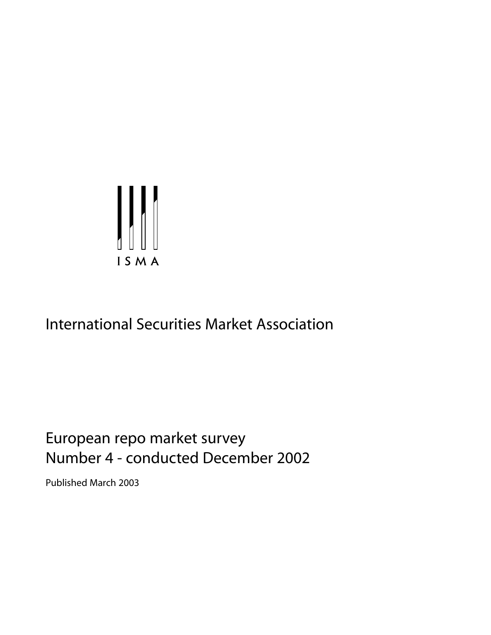

# International Securities Market Association

# European repo market survey Number 4 - conducted December 2002

Published March 2003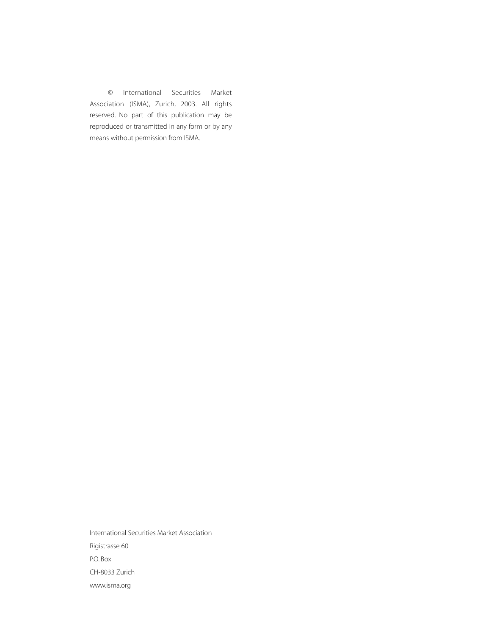© International Securities Market Association (ISMA), Zurich, 2003. All rights reserved. No part of this publication may be reproduced or transmitted in any form or by any means without permission from ISMA.

International Securities Market Association Rigistrasse 60 P.O. Box CH-8033 Zurich www.isma.org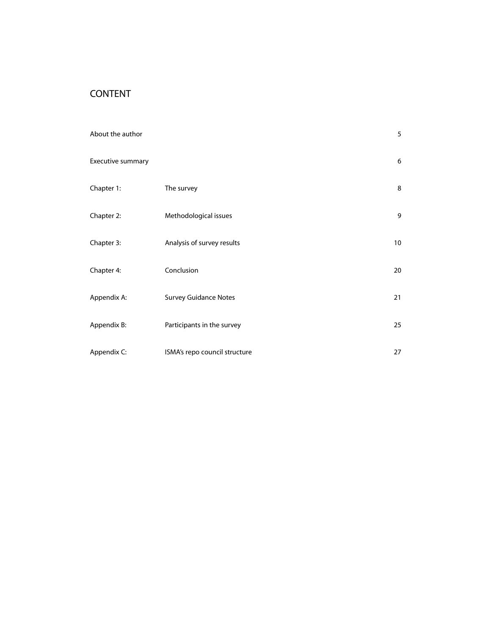# CONTENT

| About the author  |                               | 5  |
|-------------------|-------------------------------|----|
| Executive summary |                               | 6  |
| Chapter 1:        | The survey                    | 8  |
| Chapter 2:        | Methodological issues         | 9  |
| Chapter 3:        | Analysis of survey results    | 10 |
| Chapter 4:        | Conclusion                    | 20 |
| Appendix A:       | <b>Survey Guidance Notes</b>  | 21 |
| Appendix B:       | Participants in the survey    | 25 |
| Appendix C:       | ISMA's repo council structure | 27 |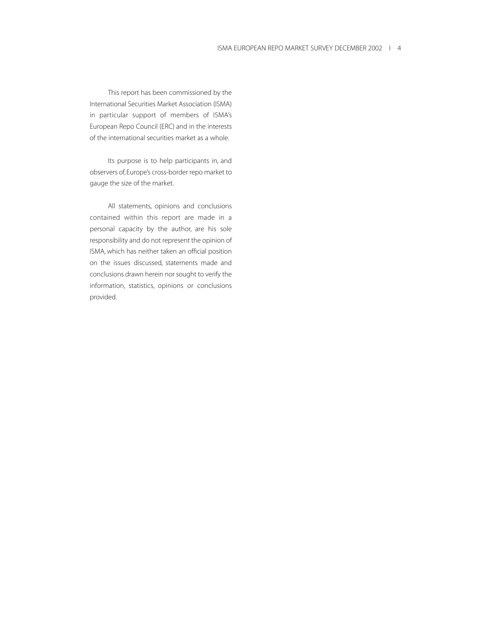This report has been commissioned by the International Securities Market Association (ISMA) in particular support of members of ISMA's European Repo Council (ERC) and in the interests of the international securities market as a whole.

Its purpose is to help participants in, and observers of, Europe's cross-border repo market to gauge the size of the market.

All statements, opinions and conclusions contained within this report are made in a personal capacity by the author, are his sole responsibility and do not represent the opinion of ISMA, which has neither taken an official position on the issues discussed, statements made and conclusions drawn herein nor sought to verify the information, statistics, opinions or conclusions provided.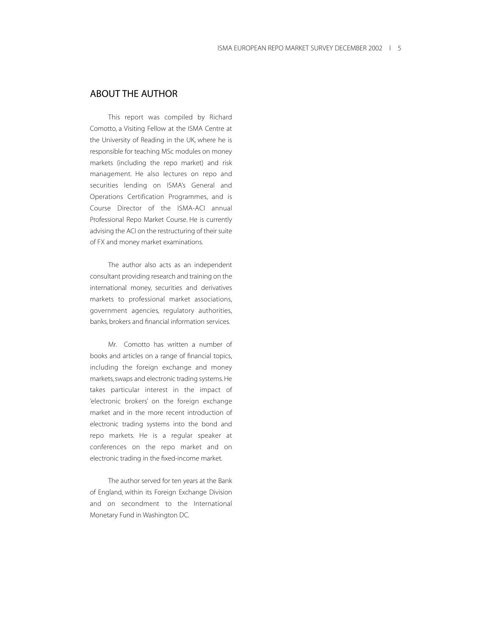# ABOUT THE AUTHOR

This report was compiled by Richard Comotto, a Visiting Fellow at the ISMA Centre at the University of Reading in the UK, where he is responsible for teaching MSc modules on money markets (including the repo market) and risk management. He also lectures on repo and securities lending on ISMA's General and Operations Certification Programmes, and is Course Director of the ISMA-ACI annual Professional Repo Market Course. He is currently advising the ACI on the restructuring of their suite of FX and money market examinations.

The author also acts as an independent consultant providing research and training on the international money, securities and derivatives markets to professional market associations, government agencies, regulatory authorities, banks, brokers and financial information services.

Mr. Comotto has written a number of books and articles on a range of financial topics, including the foreign exchange and money markets, swaps and electronic trading systems. He takes particular interest in the impact of 'electronic brokers' on the foreign exchange market and in the more recent introduction of electronic trading systems into the bond and repo markets. He is a regular speaker at conferences on the repo market and on electronic trading in the fixed-income market.

The author served for ten years at the Bank of England, within its Foreign Exchange Division and on secondment to the International Monetary Fund in Washington DC.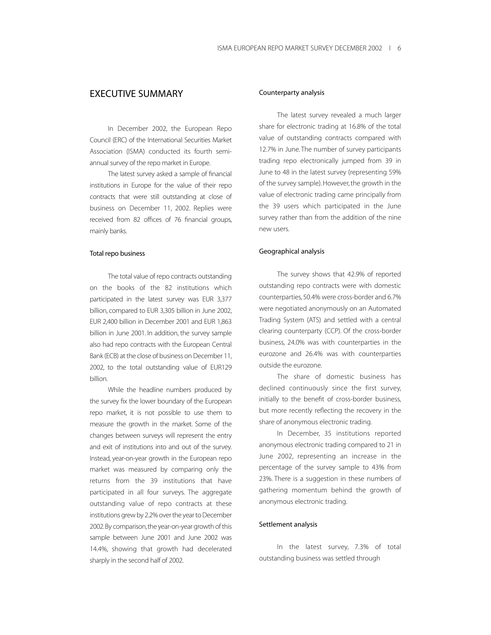# EXECUTIVE SUMMARY

In December 2002, the European Repo Council (ERC) of the International Securities Market Association (ISMA) conducted its fourth semiannual survey of the repo market in Europe.

The latest survey asked a sample of financial institutions in Europe for the value of their repo contracts that were still outstanding at close of business on December 11, 2002. Replies were received from 82 offices of 76 financial groups, mainly banks.

#### Total repo business

The total value of repo contracts outstanding on the books of the 82 institutions which participated in the latest survey was EUR 3,377 billion, compared to EUR 3,305 billion in June 2002, EUR 2,400 billion in December 2001 and EUR 1,863 billion in June 2001. In addition, the survey sample also had repo contracts with the European Central Bank (ECB) at the close of business on December 11, 2002, to the total outstanding value of EUR129 billion.

While the headline numbers produced by the survey fix the lower boundary of the European repo market, it is not possible to use them to measure the growth in the market. Some of the changes between surveys will represent the entry and exit of institutions into and out of the survey. Instead, year-on-year growth in the European repo market was measured by comparing only the returns from the 39 institutions that have participated in all four surveys. The aggregate outstanding value of repo contracts at these institutions grew by 2.2% over the year to December 2002.By comparison,the year-on-year growth of this sample between June 2001 and June 2002 was 14.4%, showing that growth had decelerated sharply in the second half of 2002.

#### Counterparty analysis

The latest survey revealed a much larger share for electronic trading at 16.8% of the total value of outstanding contracts compared with 12.7% in June. The number of survey participants trading repo electronically jumped from 39 in June to 48 in the latest survey (representing 59% of the survey sample). However, the growth in the value of electronic trading came principally from the 39 users which participated in the June survey rather than from the addition of the nine new users.

## Geographical analysis

The survey shows that 42.9% of reported outstanding repo contracts were with domestic counterparties, 50.4% were cross-border and 6.7% were negotiated anonymously on an Automated Trading System (ATS) and settled with a central clearing counterparty (CCP). Of the cross-border business, 24.0% was with counterparties in the eurozone and 26.4% was with counterparties outside the eurozone.

The share of domestic business has declined continuously since the first survey, initially to the benefit of cross-border business, but more recently reflecting the recovery in the share of anonymous electronic trading.

In December, 35 institutions reported anonymous electronic trading compared to 21 in June 2002, representing an increase in the percentage of the survey sample to 43% from 23%. There is a suggestion in these numbers of gathering momentum behind the growth of anonymous electronic trading.

#### Settlement analysis

In the latest survey, 7.3% of total outstanding business was settled through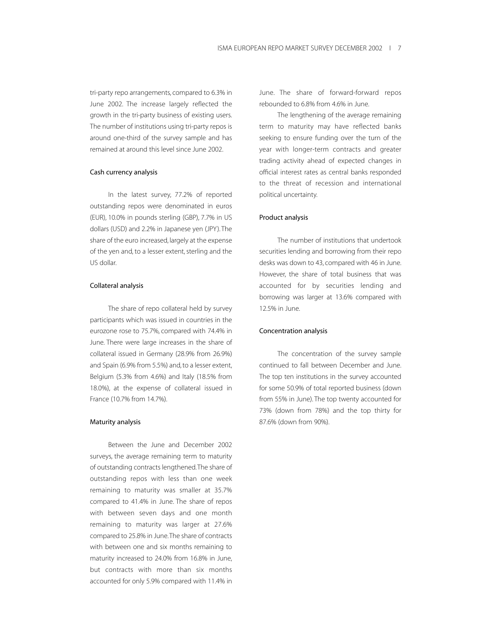tri-party repo arrangements, compared to 6.3% in June 2002. The increase largely reflected the growth in the tri-party business of existing users. The number of institutions using tri-party repos is around one-third of the survey sample and has remained at around this level since June 2002.

## Cash currency analysis

In the latest survey, 77.2% of reported outstanding repos were denominated in euros (EUR), 10.0% in pounds sterling (GBP), 7.7% in US dollars (USD) and 2.2% in Japanese yen (JPY). The share of the euro increased, largely at the expense of the yen and, to a lesser extent, sterling and the US dollar.

## Collateral analysis

The share of repo collateral held by survey participants which was issued in countries in the eurozone rose to 75.7%, compared with 74.4% in June. There were large increases in the share of collateral issued in Germany (28.9% from 26.9%) and Spain (6.9% from 5.5%) and, to a lesser extent, Belgium (5.3% from 4.6%) and Italy (18.5% from 18.0%), at the expense of collateral issued in France (10.7% from 14.7%).

## Maturity analysis

Between the June and December 2002 surveys, the average remaining term to maturity of outstanding contracts lengthened.The share of outstanding repos with less than one week remaining to maturity was smaller at 35.7% compared to 41.4% in June. The share of repos with between seven days and one month remaining to maturity was larger at 27.6% compared to 25.8% in June.The share of contracts with between one and six months remaining to maturity increased to 24.0% from 16.8% in June, but contracts with more than six months accounted for only 5.9% compared with 11.4% in

June. The share of forward-forward repos rebounded to 6.8% from 4.6% in June.

The lengthening of the average remaining term to maturity may have reflected banks seeking to ensure funding over the turn of the year with longer-term contracts and greater trading activity ahead of expected changes in official interest rates as central banks responded to the threat of recession and international political uncertainty.

#### Product analysis

The number of institutions that undertook securities lending and borrowing from their repo desks was down to 43, compared with 46 in June. However, the share of total business that was accounted for by securities lending and borrowing was larger at 13.6% compared with 12.5% in June.

#### Concentration analysis

The concentration of the survey sample continued to fall between December and June. The top ten institutions in the survey accounted for some 50.9% of total reported business (down from 55% in June). The top twenty accounted for 73% (down from 78%) and the top thirty for 87.6% (down from 90%).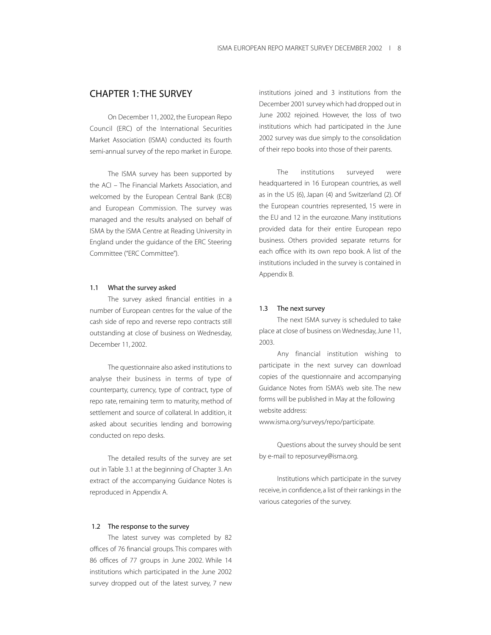# CHAPTER 1: THE SURVEY

On December 11, 2002, the European Repo Council (ERC) of the International Securities Market Association (ISMA) conducted its fourth semi-annual survey of the repo market in Europe.

The ISMA survey has been supported by the ACI – The Financial Markets Association, and welcomed by the European Central Bank (ECB) and European Commission. The survey was managed and the results analysed on behalf of ISMA by the ISMA Centre at Reading University in England under the guidance of the ERC Steering Committee ("ERC Committee").

#### 1.1 What the survey asked

The survey asked financial entities in a number of European centres for the value of the cash side of repo and reverse repo contracts still outstanding at close of business on Wednesday, December 11, 2002.

The questionnaire also asked institutions to analyse their business in terms of type of counterparty, currency, type of contract, type of repo rate, remaining term to maturity, method of settlement and source of collateral. In addition, it asked about securities lending and borrowing conducted on repo desks.

The detailed results of the survey are set out in Table 3.1 at the beginning of Chapter 3. An extract of the accompanying Guidance Notes is reproduced in Appendix A.

#### 1.2 The response to the survey

The latest survey was completed by 82 offices of 76 financial groups. This compares with 86 offices of 77 groups in June 2002. While 14 institutions which participated in the June 2002 survey dropped out of the latest survey, 7 new

institutions joined and 3 institutions from the December 2001 survey which had dropped out in June 2002 rejoined. However, the loss of two institutions which had participated in the June 2002 survey was due simply to the consolidation of their repo books into those of their parents.

The institutions surveyed were headquartered in 16 European countries, as well as in the US (6), Japan (4) and Switzerland (2). Of the European countries represented, 15 were in the EU and 12 in the eurozone. Many institutions provided data for their entire European repo business. Others provided separate returns for each office with its own repo book. A list of the institutions included in the survey is contained in Appendix B.

#### 1.3 The next survey

The next ISMA survey is scheduled to take place at close of business on Wednesday, June 11, 2003.

Any financial institution wishing to participate in the next survey can download copies of the questionnaire and accompanying Guidance Notes from ISMA's web site. The new forms will be published in May at the following website address:

www.isma.org/surveys/repo/participate.

Questions about the survey should be sent by e-mail to reposurvey@isma.org.

Institutions which participate in the survey receive, in confidence, a list of their rankings in the various categories of the survey.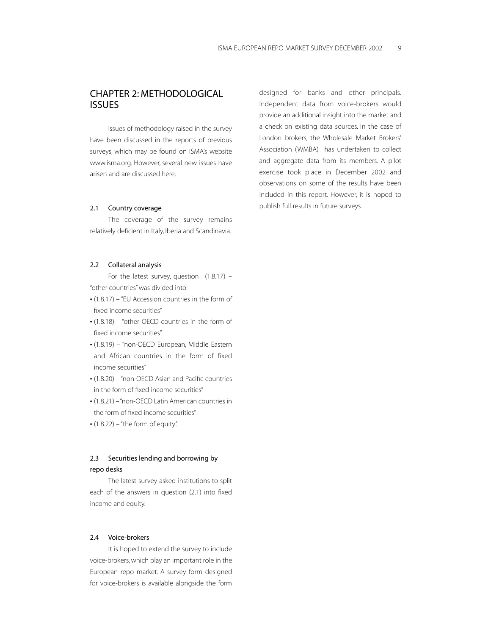# CHAPTER 2: METHODOLOGICAL ISSUES

Issues of methodology raised in the survey have been discussed in the reports of previous surveys, which may be found on ISMA's website www.isma.org. However, several new issues have arisen and are discussed here.

#### 2.1 Country coverage

The coverage of the survey remains relatively deficient in Italy, Iberia and Scandinavia.

## 2.2 Collateral analysis

For the latest survey, question  $(1.8.17)$  – "other countries" was divided into:

- (1.8.17) "EU Accession countries in the form of fixed income securities"
- (1.8.18) "other OECD countries in the form of fixed income securities"
- (1.8.19) "non-OECD European, Middle Eastern and African countries in the form of fixed income securities"
- (1.8.20) "non-OECD Asian and Pacific countries in the form of fixed income securities"
- (1.8.21) "non-OECD Latin American countries in the form of fixed income securities"
- $\cdot$  (1.8.22) "the form of equity".

# 2.3 Securities lending and borrowing by repo desks

The latest survey asked institutions to split each of the answers in question (2.1) into fixed income and equity.

## 2.4 Voice-brokers

It is hoped to extend the survey to include voice-brokers, which play an important role in the European repo market. A survey form designed for voice-brokers is available alongside the form designed for banks and other principals. Independent data from voice-brokers would provide an additional insight into the market and a check on existing data sources. In the case of London brokers, the Wholesale Market Brokers' Association (WMBA) has undertaken to collect and aggregate data from its members. A pilot exercise took place in December 2002 and observations on some of the results have been included in this report. However, it is hoped to publish full results in future surveys.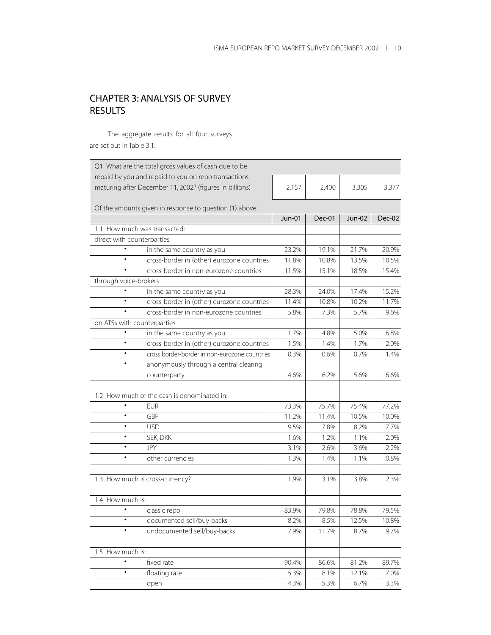# CHAPTER 3: ANALYSIS OF SURVEY RESULTS

The aggregate results for all four surveys are set out in Table 3.1.

| Q1 What are the total gross values of cash due to be    |               |        |        |        |
|---------------------------------------------------------|---------------|--------|--------|--------|
| repaid by you and repaid to you on repo transactions    |               |        |        |        |
| maturing after December 11, 2002? (figures in billions) | 2,157         | 2,400  | 3,305  | 3,377  |
| Of the amounts given in response to question (1) above: |               |        |        |        |
|                                                         | <b>Jun-01</b> | Dec-01 | Jun-02 | Dec-02 |
| 1.1 How much was transacted:                            |               |        |        |        |
| direct with counterparties                              |               |        |        |        |
| in the same country as you                              | 23.2%         | 19.1%  | 21.7%  | 20.9%  |
| cross-border in (other) eurozone countries              | 11.8%         | 10.8%  | 13.5%  | 10.5%  |
| cross-border in non-eurozone countries                  | 11.5%         | 15.1%  | 18.5%  | 15.4%  |
| through voice-brokers                                   |               |        |        |        |
| in the same country as you                              | 28.3%         | 24.0%  | 17.4%  | 15.2%  |
| cross-border in (other) eurozone countries<br>$\bullet$ | 11.4%         | 10.8%  | 10.2%  | 11.7%  |
| $\bullet$<br>cross-border in non-eurozone countries     | 5.8%          | 7.3%   | 5.7%   | 9.6%   |
| on ATSs with counterparties                             |               |        |        |        |
| $\bullet$<br>in the same country as you                 | 1.7%          | 4.8%   | 5.0%   | 6.8%   |
| cross-border in (other) eurozone countries              | 1.5%          | 1.4%   | 1.7%   | 2.0%   |
| cross border-border in non-eurozone countries<br>٠      | 0.3%          | 0.6%   | 0.7%   | 1.4%   |
| $\bullet$<br>anonymously through a central clearing     |               |        |        |        |
| counterparty                                            | 4.6%          | 6.2%   | 5.6%   | 6.6%   |
| 1.2 How much of the cash is denominated in:             |               |        |        |        |
| <b>EUR</b>                                              | 73.3%         | 75.7%  | 75.4%  | 77.2%  |
| GBP<br>٠                                                | 11.2%         | 11.4%  | 10.5%  | 10.0%  |
| <b>USD</b><br>٠                                         | 9.5%          | 7.8%   | 8.2%   | 7.7%   |
| $\bullet$<br>SEK, DKK                                   | 1.6%          | 1.2%   | 1.1%   | 2.0%   |
| <b>JPY</b>                                              | 3.1%          | 2.6%   | 3.6%   | 2.2%   |
| $\bullet$<br>other currencies                           | 1.3%          | 1.4%   | 1.1%   | 0.8%   |
| 1.3 How much is cross-currency?                         | 1.9%          | 3.1%   | 3.8%   | 2.3%   |
| 1.4 How much is:                                        |               |        |        |        |
| classic repo                                            | 83.9%         | 79.8%  | 78.8%  | 79.5%  |
| documented sell/buy-backs                               | 8.2%          | 8.5%   | 12.5%  | 10.8%  |
| undocumented sell/buy-backs                             | 7.9%          | 11.7%  | 8.7%   | 9.7%   |
| 1.5 How much is:                                        |               |        |        |        |
| $\bullet$<br>fixed rate                                 | 90.4%         | 86.6%  | 81.2%  | 89.7%  |
| $\bullet$<br>floating rate                              | 5.3%          | 8.1%   | 12.1%  | 7.0%   |
| open                                                    | 4.3%          | 5.3%   | 6.7%   | 3.3%   |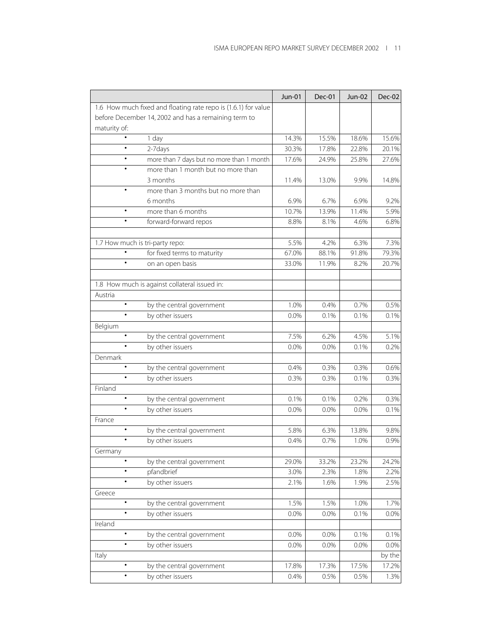|                                                                | <b>Jun-01</b> | Dec-01  | Jun-02 | <b>Dec-02</b> |
|----------------------------------------------------------------|---------------|---------|--------|---------------|
| 1.6 How much fixed and floating rate repo is (1.6.1) for value |               |         |        |               |
| before December 14, 2002 and has a remaining term to           |               |         |        |               |
| maturity of:                                                   |               |         |        |               |
| 1 day<br>٠                                                     | 14.3%         | 15.5%   | 18.6%  | 15.6%         |
| 2-7days<br>$\bullet$                                           | 30.3%         | 17.8%   | 22.8%  | 20.1%         |
| more than 7 days but no more than 1 month<br>$\bullet$         | 17.6%         | 24.9%   | 25.8%  | 27.6%         |
| more than 1 month but no more than                             |               |         |        |               |
| 3 months                                                       | 11.4%         | 13.0%   | 9.9%   | 14.8%         |
| more than 3 months but no more than                            |               |         |        |               |
| 6 months                                                       | 6.9%          | 6.7%    | 6.9%   | 9.2%          |
| more than 6 months<br>$\bullet$                                | 10.7%         | 13.9%   | 11.4%  | 5.9%          |
| $\bullet$<br>forward-forward repos                             | 8.8%          | 8.1%    | 4.6%   | 6.8%          |
|                                                                |               |         |        |               |
| 1.7 How much is tri-party repo:                                | 5.5%          | 4.2%    | 6.3%   | 7.3%          |
| for fixed terms to maturity                                    | 67.0%         | 88.1%   | 91.8%  | 79.3%         |
| $\bullet$<br>on an open basis                                  | 33.0%         | 11.9%   | 8.2%   | 20.7%         |
|                                                                |               |         |        |               |
| 1.8 How much is against collateral issued in:                  |               |         |        |               |
| Austria                                                        |               |         |        |               |
| $\bullet$<br>by the central government                         | 1.0%          | 0.4%    | 0.7%   | 0.5%          |
| by other issuers                                               | 0.0%          | 0.1%    | 0.1%   | 0.1%          |
| Belgium                                                        |               |         |        |               |
| $\bullet$<br>by the central government                         | 7.5%          | 6.2%    | 4.5%   | 5.1%          |
| by other issuers                                               | 0.0%          | 0.0%    | 0.1%   | 0.2%          |
| Denmark                                                        |               |         |        |               |
| $\bullet$<br>by the central government                         | 0.4%          | 0.3%    | 0.3%   | 0.6%          |
| by other issuers                                               | 0.3%          | 0.3%    | 0.1%   | 0.3%          |
| Finland                                                        |               |         |        |               |
| $\bullet$<br>by the central government                         | 0.1%          | 0.1%    | 0.2%   | 0.3%          |
| by other issuers<br>$\bullet$                                  | 0.0%          | $0.0\%$ | 0.0%   | 0.1%          |
| France                                                         |               |         |        |               |
| $\bullet$<br>by the central government                         | 5.8%          | 6.3%    | 13.8%  | 9.8%          |
| by other issuers                                               | 0.4%          | 0.7%    | 1.0%   | 0.9%          |
| Germany                                                        |               |         |        |               |
| $\bullet$<br>by the central government                         | 29.0%         | 33.2%   | 23.2%  | 24.2%         |
| pfandbrief<br>٠                                                | 3.0%          | 2.3%    | 1.8%   | 2.2%          |
| by other issuers                                               | 2.1%          | 1.6%    | 1.9%   | 2.5%          |
| Greece                                                         |               |         |        |               |
| $\bullet$<br>by the central government                         | 1.5%          | 1.5%    | 1.0%   | 1.7%          |
| by other issuers<br>٠                                          | 0.0%          | 0.0%    | 0.1%   | 0.0%          |
| Ireland                                                        |               |         |        |               |
| $\bullet$<br>by the central government                         | 0.0%          | 0.0%    | 0.1%   | 0.1%          |
| $\bullet$<br>by other issuers                                  | 0.0%          | 0.0%    | 0.0%   | $0.0\%$       |
| Italy                                                          |               |         |        | by the        |
| by the central government                                      | 17.8%         | 17.3%   | 17.5%  | 17.2%         |
| by other issuers<br>٠                                          | 0.4%          | 0.5%    | 0.5%   | 1.3%          |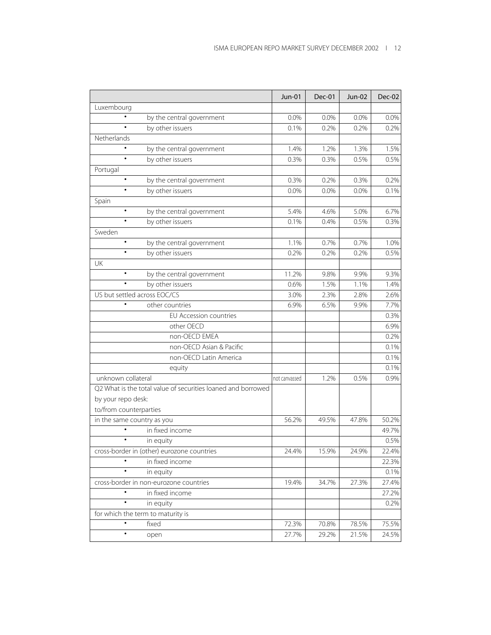|                                                              | <b>Jun-01</b> | Dec-01 | Jun-02 | Dec-02 |
|--------------------------------------------------------------|---------------|--------|--------|--------|
| Luxembourg                                                   |               |        |        |        |
| by the central government                                    | 0.0%          | 0.0%   | 0.0%   | 0.0%   |
| by other issuers<br>$\bullet$                                | 0.1%          | 0.2%   | 0.2%   | 0.2%   |
| Netherlands                                                  |               |        |        |        |
| by the central government                                    | 1.4%          | 1.2%   | 1.3%   | 1.5%   |
| by other issuers<br>$\bullet$                                | 0.3%          | 0.3%   | 0.5%   | 0.5%   |
| Portugal                                                     |               |        |        |        |
| by the central government                                    | 0.3%          | 0.2%   | 0.3%   | 0.2%   |
| by other issuers<br>$\bullet$                                | 0.0%          | 0.0%   | 0.0%   | 0.1%   |
| Spain                                                        |               |        |        |        |
| $\bullet$<br>by the central government                       | 5.4%          | 4.6%   | 5.0%   | 6.7%   |
| by other issuers                                             | 0.1%          | 0.4%   | 0.5%   | 0.3%   |
| Sweden                                                       |               |        |        |        |
| by the central government                                    | 1.1%          | 0.7%   | 0.7%   | 1.0%   |
| by other issuers<br>$\bullet$                                | 0.2%          | 0.2%   | 0.2%   | 0.5%   |
| UK                                                           |               |        |        |        |
| $\bullet$<br>by the central government                       | 11.2%         | 9.8%   | 9.9%   | 9.3%   |
| by other issuers                                             | 0.6%          | 1.5%   | 1.1%   | 1.4%   |
| US but settled across EOC/CS                                 | 3.0%          | 2.3%   | 2.8%   | 2.6%   |
| other countries                                              | 6.9%          | 6.5%   | 9.9%   | 7.7%   |
| EU Accession countries                                       |               |        |        | 0.3%   |
| other OECD                                                   |               |        |        | 6.9%   |
| non-OECD EMEA                                                |               |        |        | 0.2%   |
| non-OECD Asian & Pacific                                     |               |        |        | 0.1%   |
| non-OECD Latin America                                       |               |        |        | 0.1%   |
| equity                                                       |               |        |        | 0.1%   |
| unknown collateral                                           | not canvassed | 1.2%   | 0.5%   | 0.9%   |
| Q2 What is the total value of securities loaned and borrowed |               |        |        |        |
| by your repo desk:                                           |               |        |        |        |
| to/from counterparties                                       |               |        |        |        |
| in the same country as you                                   | 56.2%         | 49.5%  | 47.8%  | 50.2%  |
| in fixed income                                              |               |        |        | 49.7%  |
| ٠<br>in equity                                               |               |        |        | 0.5%   |
| cross-border in (other) eurozone countries                   | 24.4%         | 15.9%  | 24.9%  | 22.4%  |
| in fixed income                                              |               |        |        | 22.3%  |
| ٠<br>in equity                                               |               |        |        | 0.1%   |
| cross-border in non-eurozone countries                       | 19.4%         | 34.7%  | 27.3%  | 27.4%  |
| in fixed income                                              |               |        |        | 27.2%  |
| $\bullet$<br>in equity                                       |               |        |        | 0.2%   |
| for which the term to maturity is                            |               |        |        |        |
| $\bullet$<br>fixed                                           | 72.3%         | 70.8%  | 78.5%  | 75.5%  |
| ٠<br>open                                                    | 27.7%         | 29.2%  | 21.5%  | 24.5%  |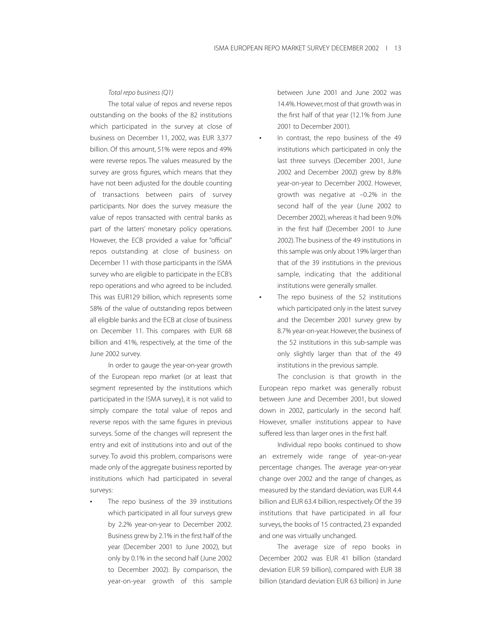#### *Total repo business (Q1)*

The total value of repos and reverse repos outstanding on the books of the 82 institutions which participated in the survey at close of business on December 11, 2002, was EUR 3,377 billion. Of this amount, 51% were repos and 49% were reverse repos. The values measured by the survey are gross figures, which means that they have not been adjusted for the double counting of transactions between pairs of survey participants. Nor does the survey measure the value of repos transacted with central banks as part of the latters' monetary policy operations. However, the ECB provided a value for "official" repos outstanding at close of business on December 11 with those participants in the ISMA survey who are eligible to participate in the ECB's repo operations and who agreed to be included. This was EUR129 billion, which represents some 58% of the value of outstanding repos between all eligible banks and the ECB at close of business on December 11. This compares with EUR 68 billion and 41%, respectively, at the time of the June 2002 survey.

In order to gauge the year-on-year growth of the European repo market (or at least that segment represented by the institutions which participated in the ISMA survey), it is not valid to simply compare the total value of repos and reverse repos with the same figures in previous surveys. Some of the changes will represent the entry and exit of institutions into and out of the survey. To avoid this problem, comparisons were made only of the aggregate business reported by institutions which had participated in several surveys:

The repo business of the 39 institutions which participated in all four surveys grew by 2.2% year-on-year to December 2002. Business grew by 2.1% in the first half of the year (December 2001 to June 2002), but only by 0.1% in the second half (June 2002 to December 2002). By comparison, the year-on-year growth of this sample

between June 2001 and June 2002 was 14.4%. However, most of that growth was in the first half of that year (12.1% from June 2001 to December 2001).

- In contrast, the repo business of the 49 institutions which participated in only the last three surveys (December 2001, June 2002 and December 2002) grew by 8.8% year-on-year to December 2002. However, growth was negative at –0.2% in the second half of the year (June 2002 to December 2002), whereas it had been 9.0% in the first half (December 2001 to June 2002). The business of the 49 institutions in this sample was only about 19% larger than that of the 39 institutions in the previous sample, indicating that the additional institutions were generally smaller.
- The repo business of the 52 institutions which participated only in the latest survey and the December 2001 survey grew by 8.7% year-on-year. However, the business of the 52 institutions in this sub-sample was only slightly larger than that of the 49 institutions in the previous sample.

The conclusion is that growth in the European repo market was generally robust between June and December 2001, but slowed down in 2002, particularly in the second half. However, smaller institutions appear to have suffered less than larger ones in the first half.

Individual repo books continued to show an extremely wide range of year-on-year percentage changes. The average year-on-year change over 2002 and the range of changes, as measured by the standard deviation, was EUR 4.4 billion and EUR 63.4 billion, respectively. Of the 39 institutions that have participated in all four surveys, the books of 15 contracted, 23 expanded and one was virtually unchanged.

The average size of repo books in December 2002 was EUR 41 billion (standard deviation EUR 59 billion), compared with EUR 38 billion (standard deviation EUR 63 billion) in June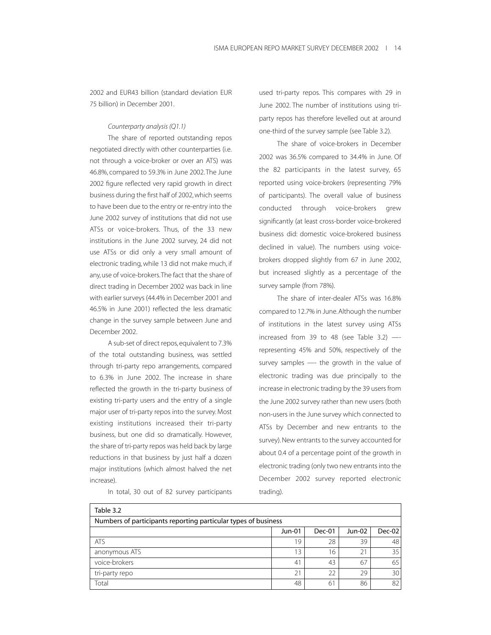2002 and EUR43 billion (standard deviation EUR 75 billion) in December 2001.

*Counterparty analysis (Q1.1)*

The share of reported outstanding repos negotiated directly with other counterparties (i.e. not through a voice-broker or over an ATS) was 46.8%, compared to 59.3% in June 2002.The June 2002 figure reflected very rapid growth in direct business during the first half of 2002, which seems to have been due to the entry or re-entry into the June 2002 survey of institutions that did not use ATSs or voice-brokers. Thus, of the 33 new institutions in the June 2002 survey, 24 did not use ATSs or did only a very small amount of electronic trading, while 13 did not make much, if any, use of voice-brokers.The fact that the share of direct trading in December 2002 was back in line with earlier surveys (44.4% in December 2001 and 46.5% in June 2001) reflected the less dramatic change in the survey sample between June and December 2002.

A sub-set of direct repos, equivalent to 7.3% of the total outstanding business, was settled through tri-party repo arrangements, compared to 6.3% in June 2002. The increase in share reflected the growth in the tri-party business of existing tri-party users and the entry of a single major user of tri-party repos into the survey. Most existing institutions increased their tri-party business, but one did so dramatically. However, the share of tri-party repos was held back by large reductions in that business by just half a dozen major institutions (which almost halved the net increase).

In total, 30 out of 82 survey participants

used tri-party repos. This compares with 29 in June 2002. The number of institutions using triparty repos has therefore levelled out at around one-third of the survey sample (see Table 3.2).

The share of voice-brokers in December 2002 was 36.5% compared to 34.4% in June. Of the 82 participants in the latest survey, 65 reported using voice-brokers (representing 79% of participants). The overall value of business conducted through voice-brokers grew significantly (at least cross-border voice-brokered business did: domestic voice-brokered business declined in value). The numbers using voicebrokers dropped slightly from 67 in June 2002, but increased slightly as a percentage of the survey sample (from 78%).

The share of inter-dealer ATSs was 16.8% compared to 12.7% in June.Although the number of institutions in the latest survey using ATSs increased from 39 to 48 (see Table 3.2) — representing 45% and 50%, respectively of the survey samples —- the growth in the value of electronic trading was due principally to the increase in electronic trading by the 39 users from the June 2002 survey rather than new users (both non-users in the June survey which connected to ATSs by December and new entrants to the survey). New entrants to the survey accounted for about 0.4 of a percentage point of the growth in electronic trading (only two new entrants into the December 2002 survey reported electronic trading).

| Table 3.2                                                      |        |        |        |                 |
|----------------------------------------------------------------|--------|--------|--------|-----------------|
| Numbers of participants reporting particular types of business |        |        |        |                 |
|                                                                | Jun-01 | Dec-01 | Jun-02 | $Dec-02$        |
| ATS                                                            | 19     | 28     | 39     | 48              |
| anonymous ATS                                                  | 13     | 16     | 21     | 35              |
| voice-brokers                                                  | 41     | 43     | 67     | 65              |
| tri-party repo                                                 | 21     | 22     | 29     | 30 <sup>°</sup> |
| Total                                                          | 48     | 61     | 86     | 82              |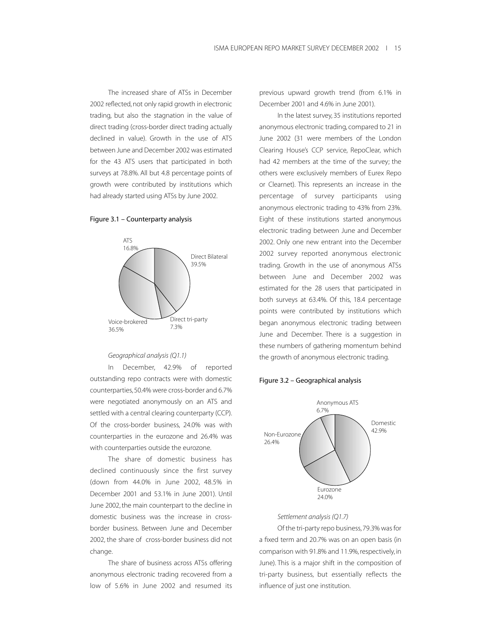The increased share of ATSs in December 2002 reflected, not only rapid growth in electronic trading, but also the stagnation in the value of direct trading (cross-border direct trading actually declined in value). Growth in the use of ATS between June and December 2002 was estimated for the 43 ATS users that participated in both surveys at 78.8%. All but 4.8 percentage points of growth were contributed by institutions which had already started using ATSs by June 2002.

#### Figure 3.1 – Counterparty analysis



#### *Geographical analysis (Q1.1)*

In December, 42.9% of reported outstanding repo contracts were with domestic counterparties, 50.4% were cross-border and 6.7% were negotiated anonymously on an ATS and settled with a central clearing counterparty (CCP). Of the cross-border business, 24.0% was with counterparties in the eurozone and 26.4% was with counterparties outside the eurozone.

The share of domestic business has declined continuously since the first survey (down from 44.0% in June 2002, 48.5% in December 2001 and 53.1% in June 2001). Until June 2002, the main counterpart to the decline in domestic business was the increase in crossborder business. Between June and December 2002, the share of cross-border business did not change.

The share of business across ATSs offering anonymous electronic trading recovered from a low of 5.6% in June 2002 and resumed its previous upward growth trend (from 6.1% in December 2001 and 4.6% in June 2001).

In the latest survey, 35 institutions reported anonymous electronic trading, compared to 21 in June 2002 (31 were members of the London Clearing House's CCP service, RepoClear, which had 42 members at the time of the survey; the others were exclusively members of Eurex Repo or Clearnet). This represents an increase in the percentage of survey participants using anonymous electronic trading to 43% from 23%. Eight of these institutions started anonymous electronic trading between June and December 2002. Only one new entrant into the December 2002 survey reported anonymous electronic trading. Growth in the use of anonymous ATSs between June and December 2002 was estimated for the 28 users that participated in both surveys at 63.4%. Of this, 18.4 percentage points were contributed by institutions which began anonymous electronic trading between June and December. There is a suggestion in these numbers of gathering momentum behind the growth of anonymous electronic trading.





## *Settlement analysis (Q1.7)*

Of the tri-party repo business, 79.3% was for a fixed term and 20.7% was on an open basis (in comparison with 91.8% and 11.9%, respectively, in June). This is a major shift in the composition of tri-party business, but essentially reflects the influence of just one institution.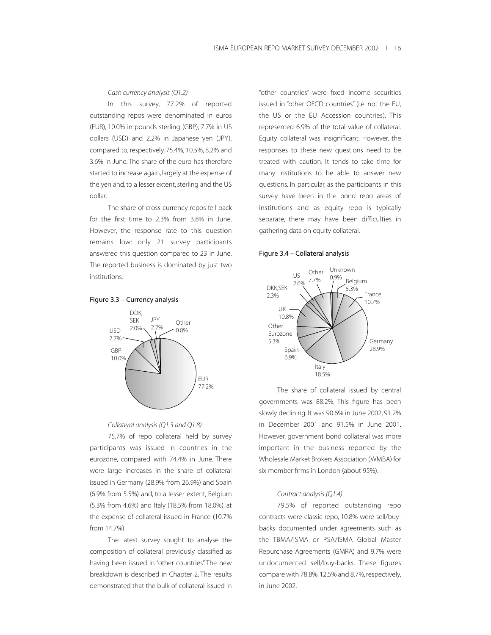#### *Cash currency analysis (Q1.2)*

In this survey, 77.2% of reported outstanding repos were denominated in euros (EUR), 10.0% in pounds sterling (GBP), 7.7% in US dollars (USD) and 2.2% in Japanese yen (JPY), compared to, respectively, 75.4%, 10.5%, 8.2% and 3.6% in June. The share of the euro has therefore started to increase again, largely at the expense of the yen and, to a lesser extent, sterling and the US dollar.

The share of cross-currency repos fell back for the first time to 2.3% from 3.8% in June. However, the response rate to this question remains low: only 21 survey participants answered this question compared to 23 in June. The reported business is dominated by just two institutions.

#### Figure 3.3 – Currency analysis



#### *Collateral analysis (Q1.3 and Q1.8)*

75.7% of repo collateral held by survey participants was issued in countries in the eurozone, compared with 74.4% in June. There were large increases in the share of collateral issued in Germany (28.9% from 26.9%) and Spain (6.9% from 5.5%) and, to a lesser extent, Belgium (5.3% from 4.6%) and Italy (18.5% from 18.0%), at the expense of collateral issued in France (10.7% from 14.7%).

The latest survey sought to analyse the composition of collateral previously classified as having been issued in "other countries". The new breakdown is described in Chapter 2. The results demonstrated that the bulk of collateral issued in

"other countries" were fixed income securities issued in "other OECD countries" (i.e. not the EU, the US or the EU Accession countries). This represented 6.9% of the total value of collateral. Equity collateral was insignificant. However, the responses to these new questions need to be treated with caution. It tends to take time for many institutions to be able to answer new questions. In particular, as the participants in this survey have been in the bond repo areas of institutions and as equity repo is typically separate, there may have been difficulties in gathering data on equity collateral.

#### Figure 3.4 – Collateral analysis



The share of collateral issued by central governments was 88.2%. This figure has been slowly declining. It was 90.6% in June 2002, 91.2% in December 2001 and 91.5% in June 2001. However, government bond collateral was more important in the business reported by the Wholesale Market Brokers Association (WMBA) for six member firms in London (about 95%).

## *Contract analysis (Q1.4)*

79.5% of reported outstanding repo contracts were classic repo, 10.8% were sell/buybacks documented under agreements such as the TBMA/ISMA or PSA/ISMA Global Master Repurchase Agreements (GMRA) and 9.7% were undocumented sell/buy-backs. These figures compare with 78.8%, 12.5% and 8.7%, respectively, in June 2002.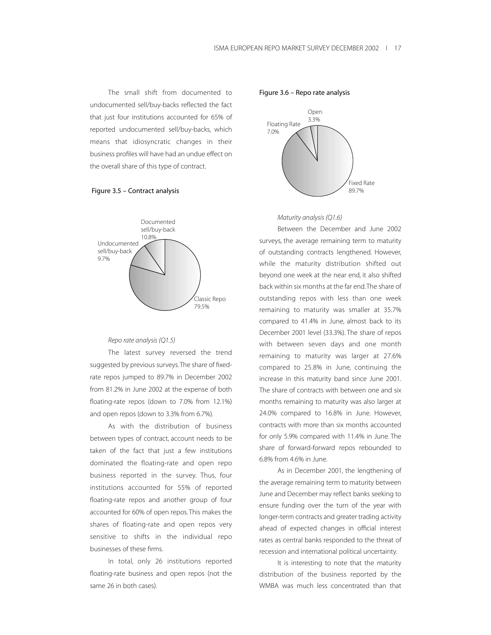The small shift from documented to undocumented sell/buy-backs reflected the fact that just four institutions accounted for 65% of reported undocumented sell/buy-backs, which means that idiosyncratic changes in their business profiles will have had an undue effect on the overall share of this type of contract.





#### *Repo rate analysis (Q1.5)*

The latest survey reversed the trend suggested by previous surveys.The share of fixedrate repos jumped to 89.7% in December 2002 from 81.2% in June 2002 at the expense of both floating-rate repos (down to 7.0% from 12.1%) and open repos (down to 3.3% from 6.7%).

As with the distribution of business between types of contract, account needs to be taken of the fact that just a few institutions dominated the floating-rate and open repo business reported in the survey. Thus, four institutions accounted for 55% of reported floating-rate repos and another group of four accounted for 60% of open repos. This makes the shares of floating-rate and open repos very sensitive to shifts in the individual repo businesses of these firms.

In total, only 26 institutions reported floating-rate business and open repos (not the same 26 in both cases).

Figure 3.6 – Repo rate analysis



#### *Maturity analysis (Q1.6)*

Between the December and June 2002 surveys, the average remaining term to maturity of outstanding contracts lengthened. However, while the maturity distribution shifted out beyond one week at the near end, it also shifted back within six months at the far end.The share of outstanding repos with less than one week remaining to maturity was smaller at 35.7% compared to 41.4% in June, almost back to its December 2001 level (33.3%). The share of repos with between seven days and one month remaining to maturity was larger at 27.6% compared to 25.8% in June, continuing the increase in this maturity band since June 2001. The share of contracts with between one and six months remaining to maturity was also larger at 24.0% compared to 16.8% in June. However, contracts with more than six months accounted for only 5.9% compared with 11.4% in June. The share of forward-forward repos rebounded to 6.8% from 4.6% in June.

As in December 2001, the lengthening of the average remaining term to maturity between June and December may reflect banks seeking to ensure funding over the turn of the year with longer-term contracts and greater trading activity ahead of expected changes in official interest rates as central banks responded to the threat of recession and international political uncertainty.

It is interesting to note that the maturity distribution of the business reported by the WMBA was much less concentrated than that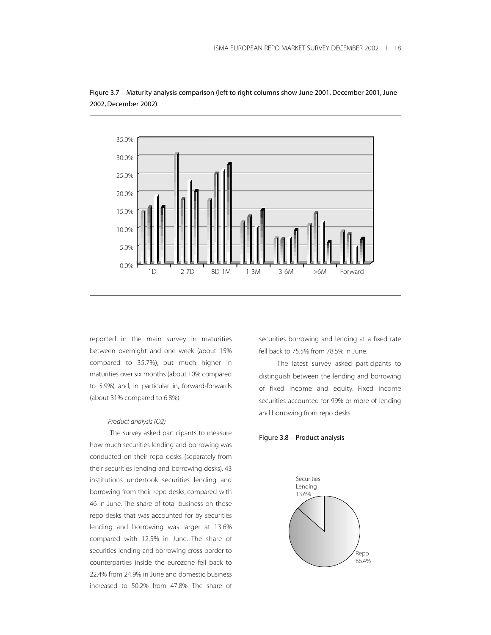



reported in the main survey in maturities between overnight and one week (about 15% compared to 35.7%), but much higher in maturities over six months (about 10% compared to 5.9%) and, in particular in, forward-forwards (about 31% compared to 6.8%).

## *Product analysis (Q2)*

The survey asked participants to measure how much securities lending and borrowing was conducted on their repo desks (separately from their securities lending and borrowing desks). 43 institutions undertook securities lending and borrowing from their repo desks, compared with 46 in June. The share of total business on those repo desks that was accounted for by securities lending and borrowing was larger at 13.6% compared with 12.5% in June. The share of securities lending and borrowing cross-border to counterparties inside the eurozone fell back to 22.4% from 24.9% in June and domestic business increased to 50.2% from 47.8%. The share of

securities borrowing and lending at a fixed rate fell back to 75.5% from 78.5% in June.

The latest survey asked participants to distinguish between the lending and borrowing of fixed income and equity. Fixed income securities accounted for 99% or more of lending and borrowing from repo desks.

#### Figure 3.8 – Product analysis

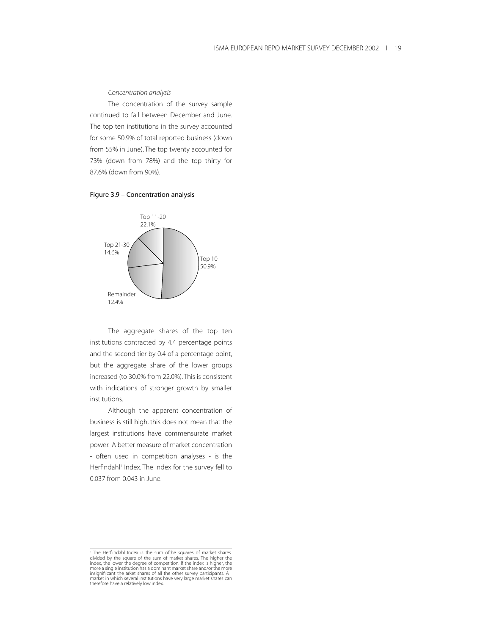#### *Concentration analysis*

The concentration of the survey sample continued to fall between December and June. The top ten institutions in the survey accounted for some 50.9% of total reported business (down from 55% in June). The top twenty accounted for 73% (down from 78%) and the top thirty for 87.6% (down from 90%).

## Figure 3.9 – Concentration analysis



The aggregate shares of the top ten institutions contracted by 4.4 percentage points and the second tier by 0.4 of a percentage point, but the aggregate share of the lower groups increased (to 30.0% from 22.0%).This is consistent with indications of stronger growth by smaller institutions.

Although the apparent concentration of business is still high, this does not mean that the largest institutions have commensurate market power. A better measure of market concentration - often used in competition analyses - is the Herfindahl1 Index. The Index for the survey fell to 0.037 from 0.043 in June.

<sup>&</sup>lt;sup>1</sup> The Herfiindahl Index is the sum ofthe squares of market shares divided by the square of the sum of market shares. The higher the index, the lower the degree of competition. If the index is higher, the more a single institution has a dominant market share and/or the more insignifiicant the arket shares of all the other survey participants. A market in which several institutions have very large market shares can therefore have a relatively low index.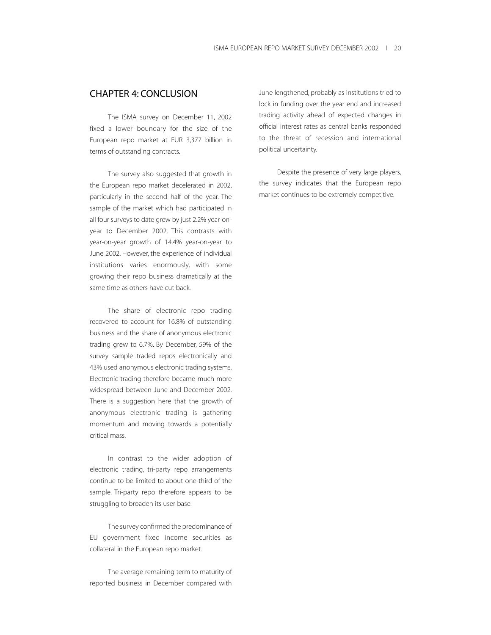# CHAPTER 4: CONCLUSION

The ISMA survey on December 11, 2002 fixed a lower boundary for the size of the European repo market at EUR 3,377 billion in terms of outstanding contracts.

The survey also suggested that growth in the European repo market decelerated in 2002, particularly in the second half of the year. The sample of the market which had participated in all four surveys to date grew by just 2.2% year-onyear to December 2002. This contrasts with year-on-year growth of 14.4% year-on-year to June 2002. However, the experience of individual institutions varies enormously, with some growing their repo business dramatically at the same time as others have cut back.

The share of electronic repo trading recovered to account for 16.8% of outstanding business and the share of anonymous electronic trading grew to 6.7%. By December, 59% of the survey sample traded repos electronically and 43% used anonymous electronic trading systems. Electronic trading therefore became much more widespread between June and December 2002. There is a suggestion here that the growth of anonymous electronic trading is gathering momentum and moving towards a potentially critical mass.

In contrast to the wider adoption of electronic trading, tri-party repo arrangements continue to be limited to about one-third of the sample. Tri-party repo therefore appears to be struggling to broaden its user base.

The survey confirmed the predominance of EU government fixed income securities as collateral in the European repo market.

The average remaining term to maturity of reported business in December compared with

June lengthened, probably as institutions tried to lock in funding over the year end and increased trading activity ahead of expected changes in official interest rates as central banks responded to the threat of recession and international political uncertainty.

Despite the presence of very large players, the survey indicates that the European repo market continues to be extremely competitive.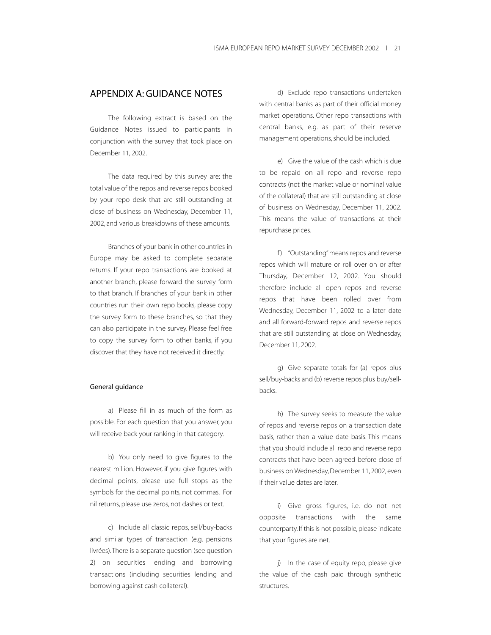# APPENDIX A: GUIDANCE NOTES

The following extract is based on the Guidance Notes issued to participants in conjunction with the survey that took place on December 11, 2002.

The data required by this survey are: the total value of the repos and reverse repos booked by your repo desk that are still outstanding at close of business on Wednesday, December 11, 2002, and various breakdowns of these amounts.

Branches of your bank in other countries in Europe may be asked to complete separate returns. If your repo transactions are booked at another branch, please forward the survey form to that branch. If branches of your bank in other countries run their own repo books, please copy the survey form to these branches, so that they can also participate in the survey. Please feel free to copy the survey form to other banks, if you discover that they have not received it directly.

## General guidance

a) Please fill in as much of the form as possible. For each question that you answer, you will receive back your ranking in that category.

b) You only need to give figures to the nearest million. However, if you give figures with decimal points, please use full stops as the symbols for the decimal points, not commas. For nil returns, please use zeros, not dashes or text.

c) Include all classic repos, sell/buy-backs and similar types of transaction (e.g. pensions livrées).There is a separate question (see question 2) on securities lending and borrowing transactions (including securities lending and borrowing against cash collateral).

d) Exclude repo transactions undertaken with central banks as part of their official money market operations. Other repo transactions with central banks, e.g. as part of their reserve management operations, should be included.

e) Give the value of the cash which is due to be repaid on all repo and reverse repo contracts (not the market value or nominal value of the collateral) that are still outstanding at close of business on Wednesday, December 11, 2002. This means the value of transactions at their repurchase prices.

f) "Outstanding" means repos and reverse repos which will mature or roll over on or after Thursday, December 12, 2002. You should therefore include all open repos and reverse repos that have been rolled over from Wednesday, December 11, 2002 to a later date and all forward-forward repos and reverse repos that are still outstanding at close on Wednesday, December 11, 2002.

g) Give separate totals for (a) repos plus sell/buy-backs and (b) reverse repos plus buy/sellbacks.

h) The survey seeks to measure the value of repos and reverse repos on a transaction date basis, rather than a value date basis. This means that you should include all repo and reverse repo contracts that have been agreed before close of business on Wednesday, December 11, 2002, even if their value dates are later.

i) Give gross figures, i.e. do not net opposite transactions with the same counterparty. If this is not possible, please indicate that your figures are net.

j) In the case of equity repo, please give the value of the cash paid through synthetic structures.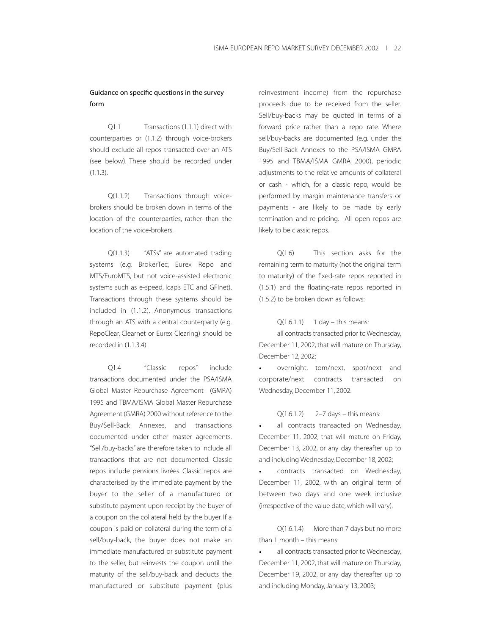# Guidance on specific questions in the survey form

Q1.1 Transactions (1.1.1) direct with counterparties or (1.1.2) through voice-brokers should exclude all repos transacted over an ATS (see below). These should be recorded under (1.1.3).

Q(1.1.2) Transactions through voicebrokers should be broken down in terms of the location of the counterparties, rather than the location of the voice-brokers.

Q(1.1.3) "ATSs" are automated trading systems (e.g. BrokerTec, Eurex Repo and MTS/EuroMTS, but not voice-assisted electronic systems such as e-speed, Icap's ETC and GFInet). Transactions through these systems should be included in (1.1.2). Anonymous transactions through an ATS with a central counterparty (e.g. RepoClear, Clearnet or Eurex Clearing) should be recorded in (1.1.3.4).

Q1.4 "Classic repos" include transactions documented under the PSA/ISMA Global Master Repurchase Agreement (GMRA) 1995 and TBMA/ISMA Global Master Repurchase Agreement (GMRA) 2000 without reference to the Buy/Sell-Back Annexes, and transactions documented under other master agreements. "Sell/buy-backs" are therefore taken to include all transactions that are not documented. Classic repos include pensions livrées. Classic repos are characterised by the immediate payment by the buyer to the seller of a manufactured or substitute payment upon receipt by the buyer of a coupon on the collateral held by the buyer. If a coupon is paid on collateral during the term of a sell/buy-back, the buyer does not make an immediate manufactured or substitute payment to the seller, but reinvests the coupon until the maturity of the sell/buy-back and deducts the manufactured or substitute payment (plus

reinvestment income) from the repurchase proceeds due to be received from the seller. Sell/buy-backs may be quoted in terms of a forward price rather than a repo rate. Where sell/buy-backs are documented (e.g. under the Buy/Sell-Back Annexes to the PSA/ISMA GMRA 1995 and TBMA/ISMA GMRA 2000), periodic adjustments to the relative amounts of collateral or cash - which, for a classic repo, would be performed by margin maintenance transfers or payments - are likely to be made by early termination and re-pricing. All open repos are likely to be classic repos.

Q(1.6) This section asks for the remaining term to maturity (not the original term to maturity) of the fixed-rate repos reported in (1.5.1) and the floating-rate repos reported in (1.5.2) to be broken down as follows:

## $Q(1.6.1.1)$  1 day – this means:

all contracts transacted prior to Wednesday, December 11, 2002, that will mature on Thursday, December 12, 2002;

overnight, tom/next, spot/next and corporate/next contracts transacted on Wednesday, December 11, 2002.

## Q(1.6.1.2) 2–7 days – this means:

all contracts transacted on Wednesday, December 11, 2002, that will mature on Friday, December 13, 2002, or any day thereafter up to and including Wednesday, December 18, 2002;

• contracts transacted on Wednesday, December 11, 2002, with an original term of between two days and one week inclusive (irrespective of the value date, which will vary).

Q(1.6.1.4) More than 7 days but no more than 1 month – this means:

all contracts transacted prior to Wednesday, December 11, 2002, that will mature on Thursday, December 19, 2002, or any day thereafter up to and including Monday, January 13, 2003;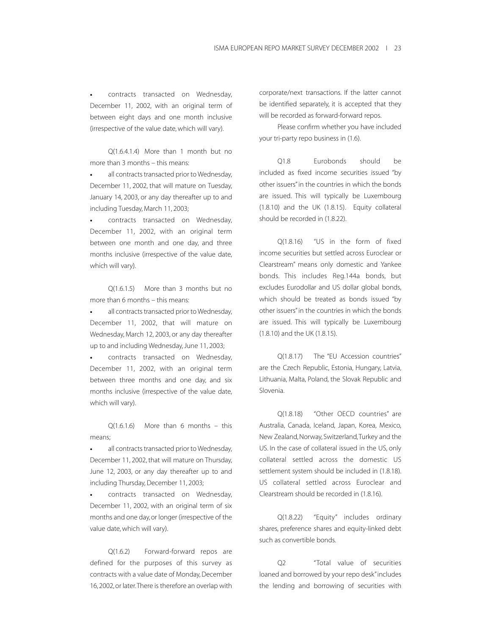contracts transacted on Wednesday, December 11, 2002, with an original term of between eight days and one month inclusive (irrespective of the value date, which will vary).

Q(1.6.4.1.4) More than 1 month but no more than 3 months – this means:

all contracts transacted prior to Wednesday, December 11, 2002, that will mature on Tuesday, January 14, 2003, or any day thereafter up to and including Tuesday, March 11, 2003;

• contracts transacted on Wednesday, December 11, 2002, with an original term between one month and one day, and three months inclusive (irrespective of the value date, which will vary).

Q(1.6.1.5) More than 3 months but no more than 6 months – this means:

• all contracts transacted prior to Wednesday, December 11, 2002, that will mature on Wednesday, March 12, 2003, or any day thereafter up to and including Wednesday, June 11, 2003;

• contracts transacted on Wednesday, December 11, 2002, with an original term between three months and one day, and six months inclusive (irrespective of the value date, which will vary).

Q(1.6.1.6) More than 6 months – this means;

• all contracts transacted prior to Wednesday, December 11, 2002, that will mature on Thursday, June 12, 2003, or any day thereafter up to and including Thursday, December 11, 2003;

contracts transacted on Wednesday, December 11, 2002, with an original term of six months and one day, or longer (irrespective of the value date, which will vary).

Q(1.6.2) Forward-forward repos are defined for the purposes of this survey as contracts with a value date of Monday, December 16, 2002, or later.There is therefore an overlap with corporate/next transactions. If the latter cannot be identified separately, it is accepted that they will be recorded as forward-forward repos.

Please confirm whether you have included your tri-party repo business in (1.6).

Q1.8 Eurobonds should be included as fixed income securities issued "by other issuers" in the countries in which the bonds are issued. This will typically be Luxembourg (1.8.10) and the UK (1.8.15). Equity collateral should be recorded in (1.8.22).

Q(1.8.16) "US in the form of fixed income securities but settled across Euroclear or Clearstream" means only domestic and Yankee bonds. This includes Reg.144a bonds, but excludes Eurodollar and US dollar global bonds, which should be treated as bonds issued "by other issuers" in the countries in which the bonds are issued. This will typically be Luxembourg (1.8.10) and the UK (1.8.15).

Q(1.8.17) The "EU Accession countries" are the Czech Republic, Estonia, Hungary, Latvia, Lithuania, Malta, Poland, the Slovak Republic and Slovenia.

Q(1.8.18) "Other OECD countries" are Australia, Canada, Iceland, Japan, Korea, Mexico, New Zealand, Norway, Switzerland,Turkey and the US. In the case of collateral issued in the US, only collateral settled across the domestic US settlement system should be included in (1.8.18). US collateral settled across Euroclear and Clearstream should be recorded in (1.8.16).

Q(1.8.22) "Equity" includes ordinary shares, preference shares and equity-linked debt such as convertible bonds.

Q2 "Total value of securities loaned and borrowed by your repo desk"includes the lending and borrowing of securities with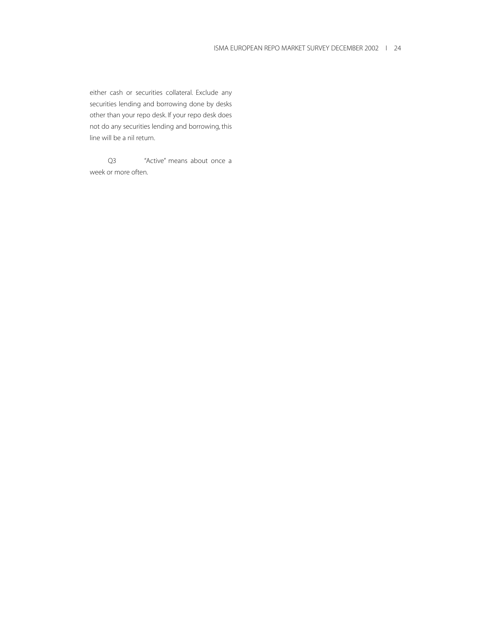either cash or securities collateral. Exclude any securities lending and borrowing done by desks other than your repo desk. If your repo desk does not do any securities lending and borrowing, this line will be a nil return.

Q3 "Active" means about once a week or more often.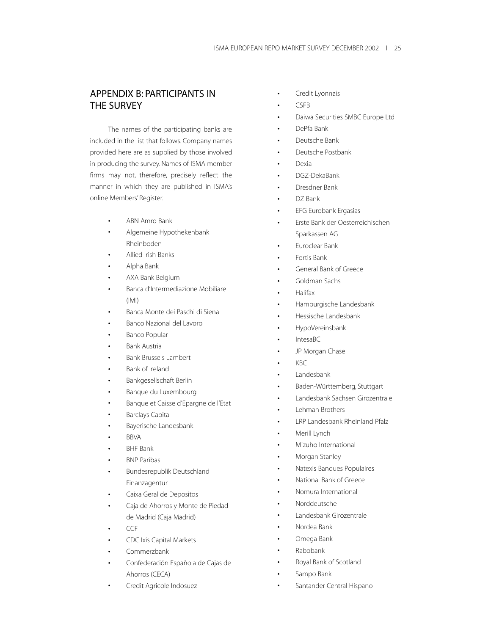# APPENDIX B: PARTICIPANTS IN THE SURVEY

The names of the participating banks are included in the list that follows. Company names provided here are as supplied by those involved in producing the survey. Names of ISMA member firms may not, therefore, precisely reflect the manner in which they are published in ISMA's online Members' Register.

- ABN Amro Bank
- Algemeine Hypothekenbank Rheinboden
- Allied Irish Banks
- Alpha Bank
- AXA Bank Belgium
- Banca d'Intermediazione Mobiliare (IMI)
- Banca Monte dei Paschi di Siena
- Banco Nazional del Lavoro
- Banco Popular
- Bank Austria
- Bank Brussels Lambert
- Bank of Ireland
- Bankgesellschaft Berlin
- Banque du Luxembourg
- Banque et Caisse d'Epargne de l'Etat
- Barclays Capital
- Bayerische Landesbank
- BBVA
- BHF Bank
- BNP Paribas
- Bundesrepublik Deutschland Finanzagentur
- Caixa Geral de Depositos
- Caja de Ahorros y Monte de Piedad de Madrid (Caja Madrid)
- CCF
- CDC Ixis Capital Markets
- Commerzbank
- Confederación Española de Cajas de Ahorros (CECA)
- Credit Agricole Indosuez
- Credit Lyonnais
- CSFB
- Daiwa Securities SMBC Europe Ltd
- DePfa Bank
- Deutsche Bank
- Deutsche Postbank
- Dexia
- DGZ-DekaBank
- Dresdner Bank
- DZ Bank
- EFG Eurobank Ergasias
- Erste Bank der Oesterreichischen Sparkassen AG
- Euroclear Bank
- Fortis Bank
- General Bank of Greece
- Goldman Sachs
- Halifax
- Hamburgische Landesbank
- Hessische Landesbank
- HypoVereinsbank
- IntesaBCI
- JP Morgan Chase
- KBC
- Landesbank
- Baden-Württemberg, Stuttgart
- Landesbank Sachsen Girozentrale
- Lehman Brothers
	- LRP Landesbank Rheinland Pfalz
- Merill Lynch
- Mizuho International
- Morgan Stanley
- Natexis Banques Populaires
- National Bank of Greece
- Nomura International
- Norddeutsche
- Landesbank Girozentrale
- Nordea Bank
- Omega Bank
- Rabobank
- Royal Bank of Scotland
- Sampo Bank
- Santander Central Hispano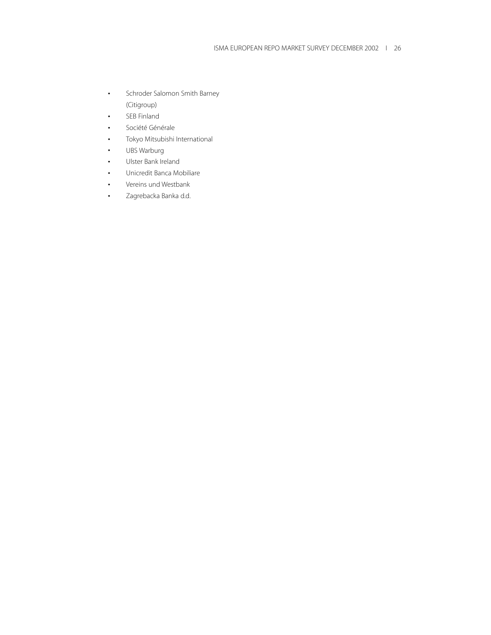- Schroder Salomon Smith Barney (Citigroup)
- SEB Finland
- Société Générale
- Tokyo Mitsubishi International
- UBS Warburg
- Ulster Bank Ireland
- Unicredit Banca Mobiliare
- Vereins und Westbank
- Zagrebacka Banka d.d.